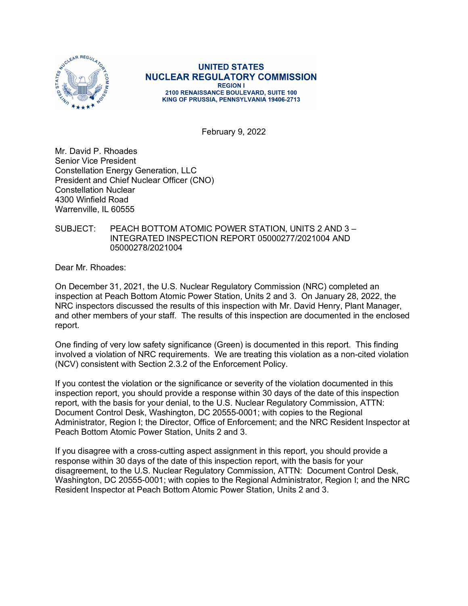

**UNITED STATES NUCLEAR REGULATORY COMMISSION REGION I** 2100 RENAISSANCE BOULEVARD, SUITE 100 KING OF PRUSSIA, PENNSYLVANIA 19406-2713

February 9, 2022

Mr. David P. Rhoades Senior Vice President Constellation Energy Generation, LLC President and Chief Nuclear Officer (CNO) Constellation Nuclear 4300 Winfield Road Warrenville, IL 60555

## SUBJECT: PEACH BOTTOM ATOMIC POWER STATION, UNITS 2 AND 3 – INTEGRATED INSPECTION REPORT 05000277/2021004 AND 05000278/2021004

Dear Mr. Rhoades:

On December 31, 2021, the U.S. Nuclear Regulatory Commission (NRC) completed an inspection at Peach Bottom Atomic Power Station, Units 2 and 3. On January 28, 2022, the NRC inspectors discussed the results of this inspection with Mr. David Henry, Plant Manager, and other members of your staff. The results of this inspection are documented in the enclosed report.

One finding of very low safety significance (Green) is documented in this report. This finding involved a violation of NRC requirements. We are treating this violation as a non-cited violation (NCV) consistent with Section 2.3.2 of the Enforcement Policy.

If you contest the violation or the significance or severity of the violation documented in this inspection report, you should provide a response within 30 days of the date of this inspection report, with the basis for your denial, to the U.S. Nuclear Regulatory Commission, ATTN: Document Control Desk, Washington, DC 20555-0001; with copies to the Regional Administrator, Region I; the Director, Office of Enforcement; and the NRC Resident Inspector at Peach Bottom Atomic Power Station, Units 2 and 3.

If you disagree with a cross-cutting aspect assignment in this report, you should provide a response within 30 days of the date of this inspection report, with the basis for your disagreement, to the U.S. Nuclear Regulatory Commission, ATTN: Document Control Desk, Washington, DC 20555-0001; with copies to the Regional Administrator, Region I; and the NRC Resident Inspector at Peach Bottom Atomic Power Station, Units 2 and 3.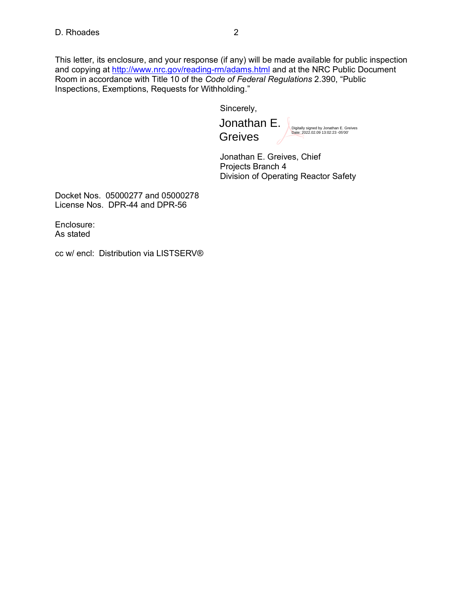This letter, its enclosure, and your response (if any) will be made available for public inspection and copying at<http://www.nrc.gov/reading-rm/adams.html> and at the NRC Public Document Room in accordance with Title 10 of the *Code of Federal Regulations* 2.390, "Public Inspections, Exemptions, Requests for Withholding."

Sincerely,

Jonathan E. **Greives** 

Digitally signed by Jonathan E. Greives Date: 2022.02.09 13:02:23 -05'00'

Jonathan E. Greives, Chief Projects Branch 4 Division of Operating Reactor Safety

Docket Nos. 05000277 and 05000278 License Nos. DPR-44 and DPR-56

Enclosure: As stated

cc w/ encl: Distribution via LISTSERV®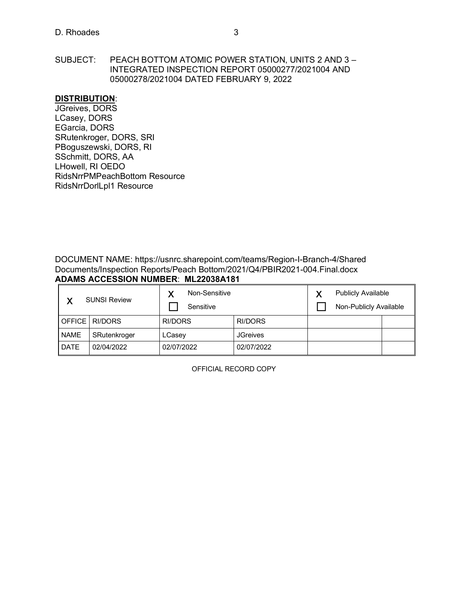SUBJECT: PEACH BOTTOM ATOMIC POWER STATION, UNITS 2 AND 3 – INTEGRATED INSPECTION REPORT 05000277/2021004 AND 05000278/2021004 DATED FEBRUARY 9, 2022

#### **DISTRIBUTION**:

JGreives, DORS LCasey, DORS EGarcia, DORS SRutenkroger, DORS, SRI PBoguszewski, DORS, RI SSchmitt, DORS, AA LHowell, RI OEDO RidsNrrPMPeachBottom Resource RidsNrrDorlLpl1 Resource

DOCUMENT NAME: https://usnrc.sharepoint.com/teams/Region-I-Branch-4/Shared Documents/Inspection Reports/Peach Bottom/2021/Q4/PBIR2021-004.Final.docx **ADAMS ACCESSION NUMBER**: **ML22038A181**

| <b>SUNSI Review</b> |              | Non-Sensitive<br>Sensitive |                 | ν | <b>Publicly Available</b><br>Non-Publicly Available |  |
|---------------------|--------------|----------------------------|-----------------|---|-----------------------------------------------------|--|
| OFFICE I            | RI/DORS      | RI/DORS                    | RI/DORS         |   |                                                     |  |
| <b>NAME</b>         | SRutenkroger | LCasey                     | <b>JGreives</b> |   |                                                     |  |
| <b>DATE</b>         | 02/04/2022   | 02/07/2022                 | 02/07/2022      |   |                                                     |  |

OFFICIAL RECORD COPY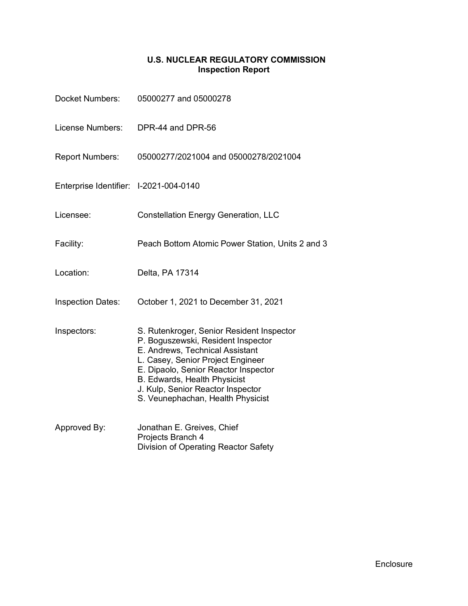## **U.S. NUCLEAR REGULATORY COMMISSION Inspection Report**

| <b>Docket Numbers:</b>                 | 05000277 and 05000278                                                                                                                                                                                                                                                                                     |
|----------------------------------------|-----------------------------------------------------------------------------------------------------------------------------------------------------------------------------------------------------------------------------------------------------------------------------------------------------------|
| License Numbers:                       | DPR-44 and DPR-56                                                                                                                                                                                                                                                                                         |
| <b>Report Numbers:</b>                 | 05000277/2021004 and 05000278/2021004                                                                                                                                                                                                                                                                     |
| Enterprise Identifier: I-2021-004-0140 |                                                                                                                                                                                                                                                                                                           |
| Licensee:                              | <b>Constellation Energy Generation, LLC</b>                                                                                                                                                                                                                                                               |
| Facility:                              | Peach Bottom Atomic Power Station, Units 2 and 3                                                                                                                                                                                                                                                          |
| Location:                              | Delta, PA 17314                                                                                                                                                                                                                                                                                           |
| <b>Inspection Dates:</b>               | October 1, 2021 to December 31, 2021                                                                                                                                                                                                                                                                      |
| Inspectors:                            | S. Rutenkroger, Senior Resident Inspector<br>P. Boguszewski, Resident Inspector<br>E. Andrews, Technical Assistant<br>L. Casey, Senior Project Engineer<br>E. Dipaolo, Senior Reactor Inspector<br>B. Edwards, Health Physicist<br>J. Kulp, Senior Reactor Inspector<br>S. Veunephachan, Health Physicist |
| Approved By:                           | Jonathan E. Greives, Chief<br>Projects Branch 4<br>Division of Operating Reactor Safety                                                                                                                                                                                                                   |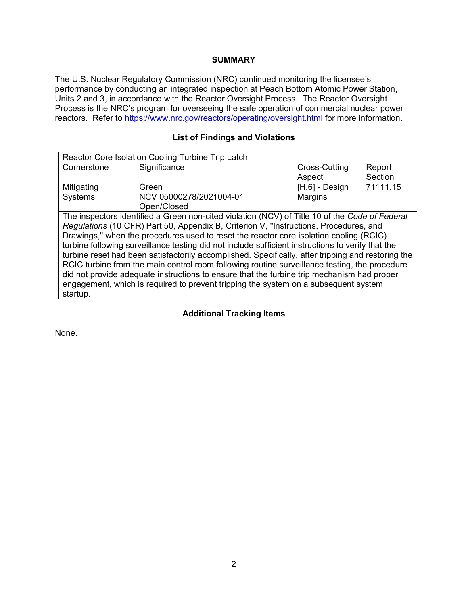# **SUMMARY**

The U.S. Nuclear Regulatory Commission (NRC) continued monitoring the licensee's performance by conducting an integrated inspection at Peach Bottom Atomic Power Station, Units 2 and 3, in accordance with the Reactor Oversight Process. The Reactor Oversight Process is the NRC's program for overseeing the safe operation of commercial nuclear power reactors. Refer to<https://www.nrc.gov/reactors/operating/oversight.html> for more information.

# **List of Findings and Violations**

| Reactor Core Isolation Cooling Turbine Trip Latch                                                  |                                                                                                |                  |          |  |  |
|----------------------------------------------------------------------------------------------------|------------------------------------------------------------------------------------------------|------------------|----------|--|--|
| Cornerstone                                                                                        | Significance                                                                                   | Cross-Cutting    | Report   |  |  |
|                                                                                                    |                                                                                                | Aspect           | Section  |  |  |
| Mitigating                                                                                         | Green                                                                                          | $[H.6]$ - Design | 71111.15 |  |  |
| Systems                                                                                            | NCV 05000278/2021004-01                                                                        | Margins          |          |  |  |
|                                                                                                    | Open/Closed                                                                                    |                  |          |  |  |
|                                                                                                    | The inspectors identified a Green non-cited violation (NCV) of Title 10 of the Code of Federal |                  |          |  |  |
|                                                                                                    | Regulations (10 CFR) Part 50, Appendix B, Criterion V, "Instructions, Procedures, and          |                  |          |  |  |
| Drawings," when the procedures used to reset the reactor core isolation cooling (RCIC)             |                                                                                                |                  |          |  |  |
| turbine following surveillance testing did not include sufficient instructions to verify that the  |                                                                                                |                  |          |  |  |
| turbine reset had been satisfactorily accomplished. Specifically, after tripping and restoring the |                                                                                                |                  |          |  |  |
| RCIC turbine from the main control room following routine surveillance testing, the procedure      |                                                                                                |                  |          |  |  |
| did not provide adequate instructions to ensure that the turbine trip mechanism had proper         |                                                                                                |                  |          |  |  |
| engagement, which is required to prevent tripping the system on a subsequent system                |                                                                                                |                  |          |  |  |
| startup.                                                                                           |                                                                                                |                  |          |  |  |

# **Additional Tracking Items**

None.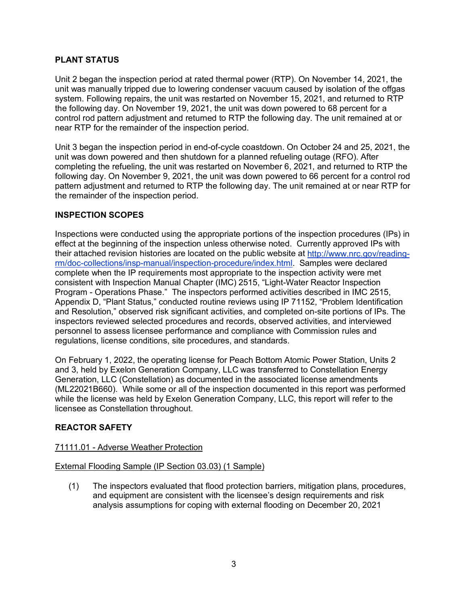# **PLANT STATUS**

Unit 2 began the inspection period at rated thermal power (RTP). On November 14, 2021, the unit was manually tripped due to lowering condenser vacuum caused by isolation of the offgas system. Following repairs, the unit was restarted on November 15, 2021, and returned to RTP the following day. On November 19, 2021, the unit was down powered to 68 percent for a control rod pattern adjustment and returned to RTP the following day. The unit remained at or near RTP for the remainder of the inspection period.

Unit 3 began the inspection period in end-of-cycle coastdown. On October 24 and 25, 2021, the unit was down powered and then shutdown for a planned refueling outage (RFO). After completing the refueling, the unit was restarted on November 6, 2021, and returned to RTP the following day. On November 9, 2021, the unit was down powered to 66 percent for a control rod pattern adjustment and returned to RTP the following day. The unit remained at or near RTP for the remainder of the inspection period.

# **INSPECTION SCOPES**

Inspections were conducted using the appropriate portions of the inspection procedures (IPs) in effect at the beginning of the inspection unless otherwise noted. Currently approved IPs with their attached revision histories are located on the public website at [http://www.nrc.gov/reading](http://www.nrc.gov/reading-rm/doc-collections/insp-manual/inspection-procedure/index.html)[rm/doc-collections/insp-manual/inspection-procedure/index.html.](http://www.nrc.gov/reading-rm/doc-collections/insp-manual/inspection-procedure/index.html) Samples were declared complete when the IP requirements most appropriate to the inspection activity were met consistent with Inspection Manual Chapter (IMC) 2515, "Light-Water Reactor Inspection Program - Operations Phase." The inspectors performed activities described in IMC 2515, Appendix D, "Plant Status," conducted routine reviews using IP 71152, "Problem Identification and Resolution," observed risk significant activities, and completed on-site portions of IPs. The inspectors reviewed selected procedures and records, observed activities, and interviewed personnel to assess licensee performance and compliance with Commission rules and regulations, license conditions, site procedures, and standards.

On February 1, 2022, the operating license for Peach Bottom Atomic Power Station, Units 2 and 3, held by Exelon Generation Company, LLC was transferred to Constellation Energy Generation, LLC (Constellation) as documented in the associated license amendments (ML22021B660). While some or all of the inspection documented in this report was performed while the license was held by Exelon Generation Company, LLC, this report will refer to the licensee as Constellation throughout.

# **REACTOR SAFETY**

# 71111.01 - Adverse Weather Protection

#### External Flooding Sample (IP Section 03.03) (1 Sample)

(1) The inspectors evaluated that flood protection barriers, mitigation plans, procedures, and equipment are consistent with the licensee's design requirements and risk analysis assumptions for coping with external flooding on December 20, 2021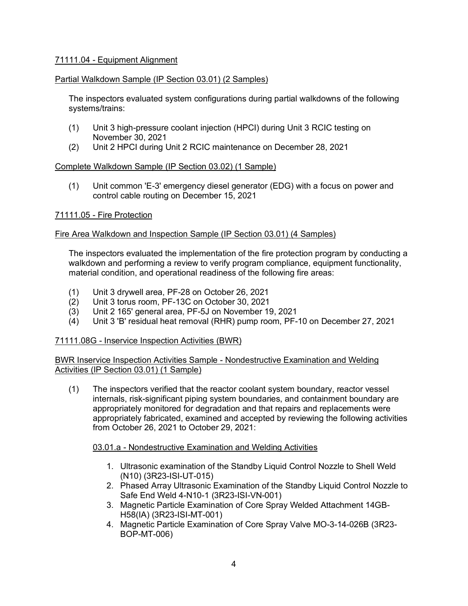# 71111.04 - Equipment Alignment

# Partial Walkdown Sample (IP Section 03.01) (2 Samples)

The inspectors evaluated system configurations during partial walkdowns of the following systems/trains:

- (1) Unit 3 high-pressure coolant injection (HPCI) during Unit 3 RCIC testing on November 30, 2021
- (2) Unit 2 HPCI during Unit 2 RCIC maintenance on December 28, 2021

# Complete Walkdown Sample (IP Section 03.02) (1 Sample)

(1) Unit common 'E-3' emergency diesel generator (EDG) with a focus on power and control cable routing on December 15, 2021

# 71111.05 - Fire Protection

# Fire Area Walkdown and Inspection Sample (IP Section 03.01) (4 Samples)

The inspectors evaluated the implementation of the fire protection program by conducting a walkdown and performing a review to verify program compliance, equipment functionality, material condition, and operational readiness of the following fire areas:

- (1) Unit 3 drywell area, PF-28 on October 26, 2021
- Unit 3 torus room, PF-13C on October 30, 2021
- (3) Unit 2 165' general area, PF-5J on November 19, 2021
- (4) Unit 3 'B' residual heat removal (RHR) pump room, PF-10 on December 27, 2021

# 71111.08G - Inservice Inspection Activities (BWR)

BWR Inservice Inspection Activities Sample - Nondestructive Examination and Welding Activities (IP Section 03.01) (1 Sample)

(1) The inspectors verified that the reactor coolant system boundary, reactor vessel internals, risk-significant piping system boundaries, and containment boundary are appropriately monitored for degradation and that repairs and replacements were appropriately fabricated, examined and accepted by reviewing the following activities from October 26, 2021 to October 29, 2021:

# 03.01.a - Nondestructive Examination and Welding Activities

- 1. Ultrasonic examination of the Standby Liquid Control Nozzle to Shell Weld (N10) (3R23-ISI-UT-015)
- 2. Phased Array Ultrasonic Examination of the Standby Liquid Control Nozzle to Safe End Weld 4-N10-1 (3R23-ISI-VN-001)
- 3. Magnetic Particle Examination of Core Spray Welded Attachment 14GB-H58(IA) (3R23-ISI-MT-001)
- 4. Magnetic Particle Examination of Core Spray Valve MO-3-14-026B (3R23- BOP-MT-006)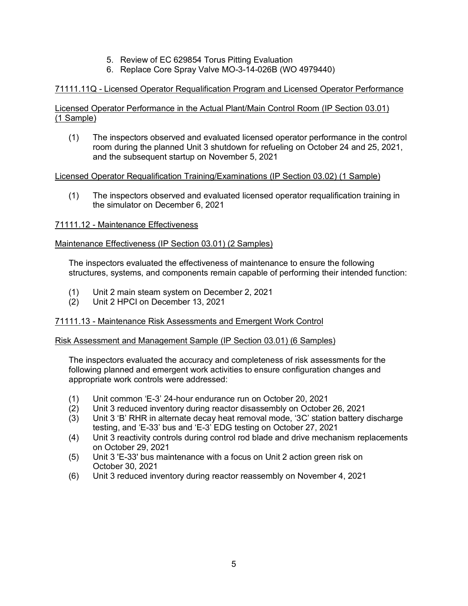- 5. Review of EC 629854 Torus Pitting Evaluation
- 6. Replace Core Spray Valve MO-3-14-026B (WO 4979440)

# 71111.11Q - Licensed Operator Requalification Program and Licensed Operator Performance

Licensed Operator Performance in the Actual Plant/Main Control Room (IP Section 03.01) (1 Sample)

(1) The inspectors observed and evaluated licensed operator performance in the control room during the planned Unit 3 shutdown for refueling on October 24 and 25, 2021, and the subsequent startup on November 5, 2021

## Licensed Operator Requalification Training/Examinations (IP Section 03.02) (1 Sample)

(1) The inspectors observed and evaluated licensed operator requalification training in the simulator on December 6, 2021

## 71111.12 - Maintenance Effectiveness

## Maintenance Effectiveness (IP Section 03.01) (2 Samples)

The inspectors evaluated the effectiveness of maintenance to ensure the following structures, systems, and components remain capable of performing their intended function:

- (1) Unit 2 main steam system on December 2, 2021
- Unit 2 HPCI on December 13, 2021

# 71111.13 - Maintenance Risk Assessments and Emergent Work Control

### Risk Assessment and Management Sample (IP Section 03.01) (6 Samples)

The inspectors evaluated the accuracy and completeness of risk assessments for the following planned and emergent work activities to ensure configuration changes and appropriate work controls were addressed:

- (1) Unit common 'E-3' 24-hour endurance run on October 20, 2021
- (2) Unit 3 reduced inventory during reactor disassembly on October 26, 2021
- (3) Unit 3 'B' RHR in alternate decay heat removal mode, '3C' station battery discharge testing, and 'E-33' bus and 'E-3' EDG testing on October 27, 2021
- (4) Unit 3 reactivity controls during control rod blade and drive mechanism replacements on October 29, 2021
- (5) Unit 3 'E-33' bus maintenance with a focus on Unit 2 action green risk on October 30, 2021
- (6) Unit 3 reduced inventory during reactor reassembly on November 4, 2021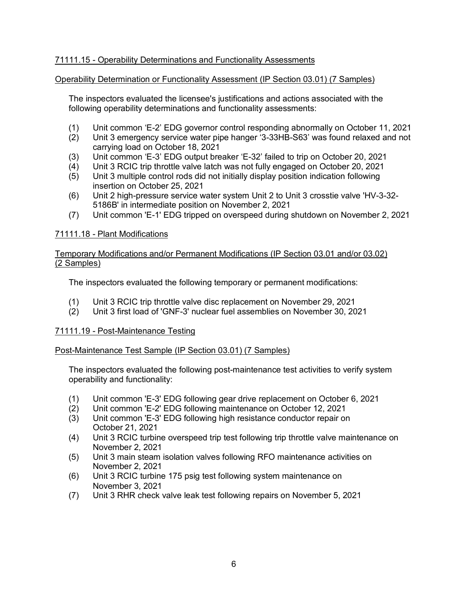# 71111.15 - Operability Determinations and Functionality Assessments

## Operability Determination or Functionality Assessment (IP Section 03.01) (7 Samples)

The inspectors evaluated the licensee's justifications and actions associated with the following operability determinations and functionality assessments:

- (1) Unit common 'E-2' EDG governor control responding abnormally on October 11, 2021
- Unit 3 emergency service water pipe hanger '3-33HB-S63' was found relaxed and not carrying load on October 18, 2021
- (3) Unit common 'E-3' EDG output breaker 'E-32' failed to trip on October 20, 2021
- (4) Unit 3 RCIC trip throttle valve latch was not fully engaged on October 20, 2021
- (5) Unit 3 multiple control rods did not initially display position indication following insertion on October 25, 2021
- (6) Unit 2 high-pressure service water system Unit 2 to Unit 3 crosstie valve 'HV-3-32- 5186B' in intermediate position on November 2, 2021
- (7) Unit common 'E-1' EDG tripped on overspeed during shutdown on November 2, 2021

## 71111.18 - Plant Modifications

### Temporary Modifications and/or Permanent Modifications (IP Section 03.01 and/or 03.02) (2 Samples)

The inspectors evaluated the following temporary or permanent modifications:

- (1) Unit 3 RCIC trip throttle valve disc replacement on November 29, 2021
- (2) Unit 3 first load of 'GNF-3' nuclear fuel assemblies on November 30, 2021

#### 71111.19 - Post-Maintenance Testing

#### Post-Maintenance Test Sample (IP Section 03.01) (7 Samples)

The inspectors evaluated the following post-maintenance test activities to verify system operability and functionality:

- (1) Unit common 'E-3' EDG following gear drive replacement on October 6, 2021
- (2) Unit common 'E-2' EDG following maintenance on October 12, 2021
- (3) Unit common 'E-3' EDG following high resistance conductor repair on October 21, 2021
- (4) Unit 3 RCIC turbine overspeed trip test following trip throttle valve maintenance on November 2, 2021
- (5) Unit 3 main steam isolation valves following RFO maintenance activities on November 2, 2021
- (6) Unit 3 RCIC turbine 175 psig test following system maintenance on November 3, 2021
- (7) Unit 3 RHR check valve leak test following repairs on November 5, 2021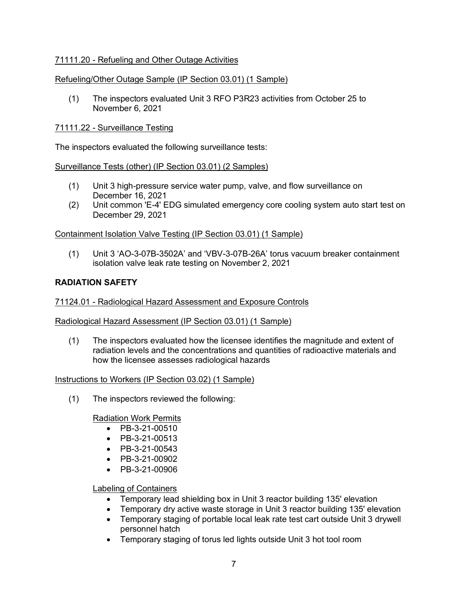# 71111.20 - Refueling and Other Outage Activities

# Refueling/Other Outage Sample (IP Section 03.01) (1 Sample)

(1) The inspectors evaluated Unit 3 RFO P3R23 activities from October 25 to November 6, 2021

# 71111.22 - Surveillance Testing

The inspectors evaluated the following surveillance tests:

## Surveillance Tests (other) (IP Section 03.01) (2 Samples)

- (1) Unit 3 high-pressure service water pump, valve, and flow surveillance on December 16, 2021
- (2) Unit common 'E-4' EDG simulated emergency core cooling system auto start test on December 29, 2021

## Containment Isolation Valve Testing (IP Section 03.01) (1 Sample)

(1) Unit 3 'AO-3-07B-3502A' and 'VBV-3-07B-26A' torus vacuum breaker containment isolation valve leak rate testing on November 2, 2021

## **RADIATION SAFETY**

### 71124.01 - Radiological Hazard Assessment and Exposure Controls

#### Radiological Hazard Assessment (IP Section 03.01) (1 Sample)

(1) The inspectors evaluated how the licensee identifies the magnitude and extent of radiation levels and the concentrations and quantities of radioactive materials and how the licensee assesses radiological hazards

#### Instructions to Workers (IP Section 03.02) (1 Sample)

(1) The inspectors reviewed the following:

#### Radiation Work Permits

- PB-3-21-00510
- PB-3-21-00513
- PB-3-21-00543
- PB-3-21-00902
- PB-3-21-00906

#### Labeling of Containers

- Temporary lead shielding box in Unit 3 reactor building 135' elevation
- Temporary dry active waste storage in Unit 3 reactor building 135' elevation
- Temporary staging of portable local leak rate test cart outside Unit 3 drywell personnel hatch
- Temporary staging of torus led lights outside Unit 3 hot tool room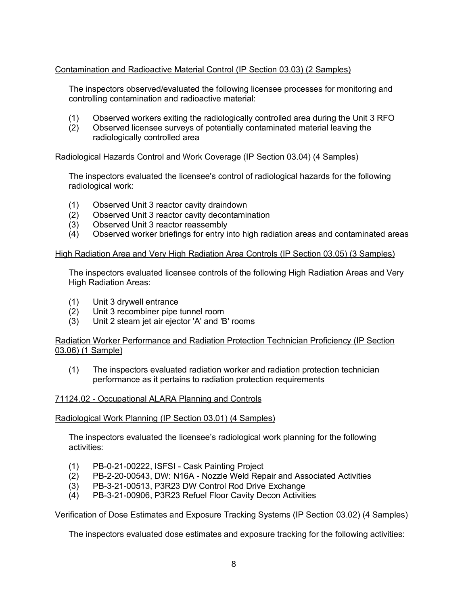# Contamination and Radioactive Material Control (IP Section 03.03) (2 Samples)

The inspectors observed/evaluated the following licensee processes for monitoring and controlling contamination and radioactive material:

- (1) Observed workers exiting the radiologically controlled area during the Unit 3 RFO
- (2) Observed licensee surveys of potentially contaminated material leaving the radiologically controlled area

## Radiological Hazards Control and Work Coverage (IP Section 03.04) (4 Samples)

The inspectors evaluated the licensee's control of radiological hazards for the following radiological work:

- (1) Observed Unit 3 reactor cavity draindown
- (2) Observed Unit 3 reactor cavity decontamination
- (3) Observed Unit 3 reactor reassembly
- (4) Observed worker briefings for entry into high radiation areas and contaminated areas

#### High Radiation Area and Very High Radiation Area Controls (IP Section 03.05) (3 Samples)

The inspectors evaluated licensee controls of the following High Radiation Areas and Very High Radiation Areas:

- (1) Unit 3 drywell entrance
- (2) Unit 3 recombiner pipe tunnel room
- (3) Unit 2 steam jet air ejector 'A' and 'B' rooms

## Radiation Worker Performance and Radiation Protection Technician Proficiency (IP Section 03.06) (1 Sample)

(1) The inspectors evaluated radiation worker and radiation protection technician performance as it pertains to radiation protection requirements

#### 71124.02 - Occupational ALARA Planning and Controls

#### Radiological Work Planning (IP Section 03.01) (4 Samples)

The inspectors evaluated the licensee's radiological work planning for the following activities:

- (1) PB-0-21-00222, ISFSI Cask Painting Project
- (2) PB-2-20-00543, DW: N16A Nozzle Weld Repair and Associated Activities
- (3) PB-3-21-00513, P3R23 DW Control Rod Drive Exchange
- (4) PB-3-21-00906, P3R23 Refuel Floor Cavity Decon Activities

#### Verification of Dose Estimates and Exposure Tracking Systems (IP Section 03.02) (4 Samples)

The inspectors evaluated dose estimates and exposure tracking for the following activities: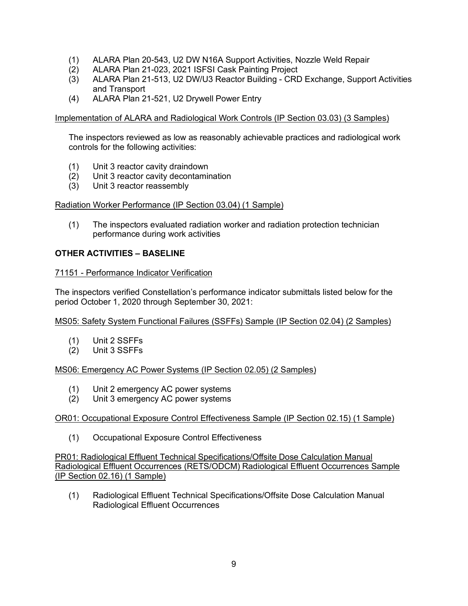- (1) ALARA Plan 20-543, U2 DW N16A Support Activities, Nozzle Weld Repair
- (2) ALARA Plan 21-023, 2021 ISFSI Cask Painting Project
- (3) ALARA Plan 21-513, U2 DW/U3 Reactor Building CRD Exchange, Support Activities and Transport
- (4) ALARA Plan 21-521, U2 Drywell Power Entry

Implementation of ALARA and Radiological Work Controls (IP Section 03.03) (3 Samples)

The inspectors reviewed as low as reasonably achievable practices and radiological work controls for the following activities:

- (1) Unit 3 reactor cavity draindown
- (2) Unit 3 reactor cavity decontamination
- (3) Unit 3 reactor reassembly

## Radiation Worker Performance (IP Section 03.04) (1 Sample)

(1) The inspectors evaluated radiation worker and radiation protection technician performance during work activities

# **OTHER ACTIVITIES – BASELINE**

## 71151 - Performance Indicator Verification

The inspectors verified Constellation's performance indicator submittals listed below for the period October 1, 2020 through September 30, 2021:

#### MS05: Safety System Functional Failures (SSFFs) Sample (IP Section 02.04) (2 Samples)

- (1) Unit 2 SSFFs
- (2) Unit 3 SSFFs

# MS06: Emergency AC Power Systems (IP Section 02.05) (2 Samples)

- (1) Unit 2 emergency AC power systems
- (2) Unit 3 emergency AC power systems

# OR01: Occupational Exposure Control Effectiveness Sample (IP Section 02.15) (1 Sample)

(1) Occupational Exposure Control Effectiveness

PR01: Radiological Effluent Technical Specifications/Offsite Dose Calculation Manual Radiological Effluent Occurrences (RETS/ODCM) Radiological Effluent Occurrences Sample (IP Section 02.16) (1 Sample)

(1) Radiological Effluent Technical Specifications/Offsite Dose Calculation Manual Radiological Effluent Occurrences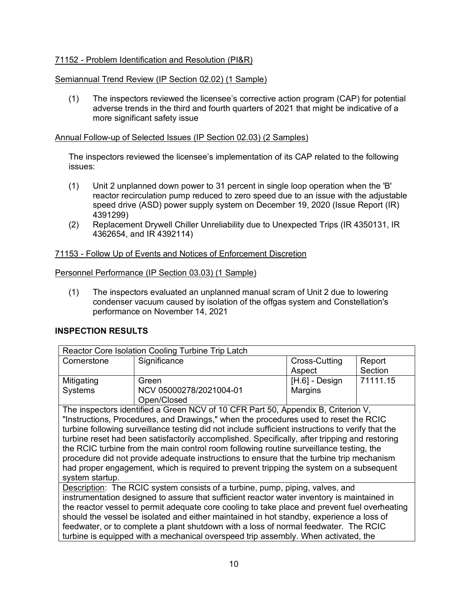# 71152 - Problem Identification and Resolution (PI&R)

## Semiannual Trend Review (IP Section 02.02) (1 Sample)

(1) The inspectors reviewed the licensee's corrective action program (CAP) for potential adverse trends in the third and fourth quarters of 2021 that might be indicative of a more significant safety issue

### Annual Follow-up of Selected Issues (IP Section 02.03) (2 Samples)

The inspectors reviewed the licensee's implementation of its CAP related to the following issues:

- (1) Unit 2 unplanned down power to 31 percent in single loop operation when the 'B' reactor recirculation pump reduced to zero speed due to an issue with the adjustable speed drive (ASD) power supply system on December 19, 2020 (Issue Report (IR) 4391299)
- (2) Replacement Drywell Chiller Unreliability due to Unexpected Trips (IR 4350131, IR 4362654, and IR 4392114)

## 71153 - Follow Up of Events and Notices of Enforcement Discretion

#### Personnel Performance (IP Section 03.03) (1 Sample)

(1) The inspectors evaluated an unplanned manual scram of Unit 2 due to lowering condenser vacuum caused by isolation of the offgas system and Constellation's performance on November 14, 2021

### **INSPECTION RESULTS**

| Reactor Core Isolation Cooling Turbine Trip Latch |                         |                  |          |  |  |  |
|---------------------------------------------------|-------------------------|------------------|----------|--|--|--|
| Cornerstone                                       | Significance            | Cross-Cutting    | Report   |  |  |  |
|                                                   |                         | Aspect           | Section  |  |  |  |
| Mitigating                                        | Green                   | $[H.6]$ - Design | 71111.15 |  |  |  |
| Systems                                           | NCV 05000278/2021004-01 | Margins          |          |  |  |  |
|                                                   | Open/Closed             |                  |          |  |  |  |

The inspectors identified a Green NCV of 10 CFR Part 50, Appendix B, Criterion V, "Instructions, Procedures, and Drawings," when the procedures used to reset the RCIC turbine following surveillance testing did not include sufficient instructions to verify that the turbine reset had been satisfactorily accomplished. Specifically, after tripping and restoring the RCIC turbine from the main control room following routine surveillance testing, the procedure did not provide adequate instructions to ensure that the turbine trip mechanism had proper engagement, which is required to prevent tripping the system on a subsequent system startup.

Description: The RCIC system consists of a turbine, pump, piping, valves, and instrumentation designed to assure that sufficient reactor water inventory is maintained in the reactor vessel to permit adequate core cooling to take place and prevent fuel overheating should the vessel be isolated and either maintained in hot standby, experience a loss of feedwater, or to complete a plant shutdown with a loss of normal feedwater. The RCIC turbine is equipped with a mechanical overspeed trip assembly. When activated, the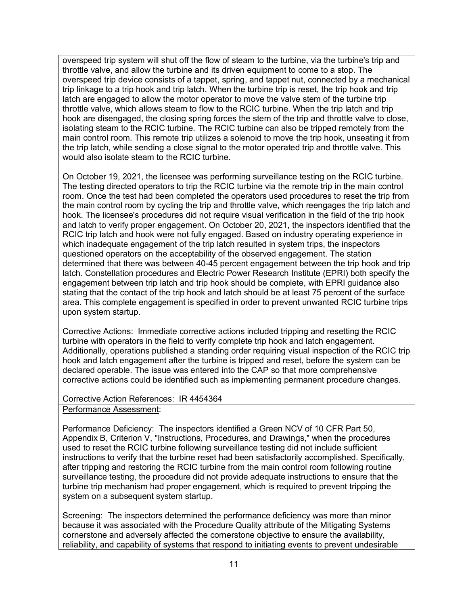overspeed trip system will shut off the flow of steam to the turbine, via the turbine's trip and throttle valve, and allow the turbine and its driven equipment to come to a stop. The overspeed trip device consists of a tappet, spring, and tappet nut, connected by a mechanical trip linkage to a trip hook and trip latch. When the turbine trip is reset, the trip hook and trip latch are engaged to allow the motor operator to move the valve stem of the turbine trip throttle valve, which allows steam to flow to the RCIC turbine. When the trip latch and trip hook are disengaged, the closing spring forces the stem of the trip and throttle valve to close, isolating steam to the RCIC turbine. The RCIC turbine can also be tripped remotely from the main control room. This remote trip utilizes a solenoid to move the trip hook, unseating it from the trip latch, while sending a close signal to the motor operated trip and throttle valve. This would also isolate steam to the RCIC turbine.

On October 19, 2021, the licensee was performing surveillance testing on the RCIC turbine. The testing directed operators to trip the RCIC turbine via the remote trip in the main control room. Once the test had been completed the operators used procedures to reset the trip from the main control room by cycling the trip and throttle valve, which reengages the trip latch and hook. The licensee's procedures did not require visual verification in the field of the trip hook and latch to verify proper engagement. On October 20, 2021, the inspectors identified that the RCIC trip latch and hook were not fully engaged. Based on industry operating experience in which inadequate engagement of the trip latch resulted in system trips, the inspectors questioned operators on the acceptability of the observed engagement. The station determined that there was between 40-45 percent engagement between the trip hook and trip latch. Constellation procedures and Electric Power Research Institute (EPRI) both specify the engagement between trip latch and trip hook should be complete, with EPRI guidance also stating that the contact of the trip hook and latch should be at least 75 percent of the surface area. This complete engagement is specified in order to prevent unwanted RCIC turbine trips upon system startup.

Corrective Actions: Immediate corrective actions included tripping and resetting the RCIC turbine with operators in the field to verify complete trip hook and latch engagement. Additionally, operations published a standing order requiring visual inspection of the RCIC trip hook and latch engagement after the turbine is tripped and reset, before the system can be declared operable. The issue was entered into the CAP so that more comprehensive corrective actions could be identified such as implementing permanent procedure changes.

# Corrective Action References: IR 4454364

Performance Assessment:

Performance Deficiency: The inspectors identified a Green NCV of 10 CFR Part 50, Appendix B, Criterion V, "Instructions, Procedures, and Drawings," when the procedures used to reset the RCIC turbine following surveillance testing did not include sufficient instructions to verify that the turbine reset had been satisfactorily accomplished. Specifically, after tripping and restoring the RCIC turbine from the main control room following routine surveillance testing, the procedure did not provide adequate instructions to ensure that the turbine trip mechanism had proper engagement, which is required to prevent tripping the system on a subsequent system startup.

Screening: The inspectors determined the performance deficiency was more than minor because it was associated with the Procedure Quality attribute of the Mitigating Systems cornerstone and adversely affected the cornerstone objective to ensure the availability, reliability, and capability of systems that respond to initiating events to prevent undesirable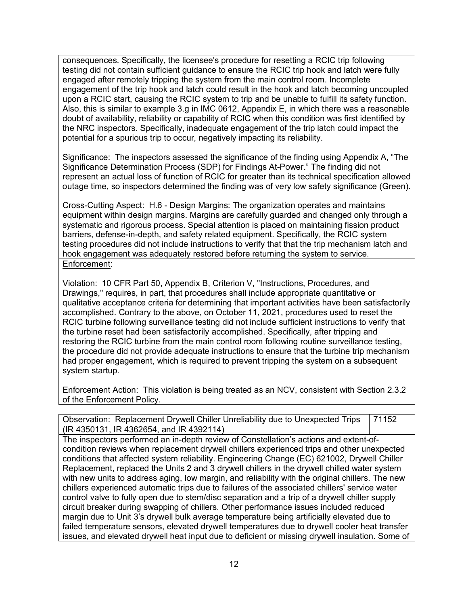consequences. Specifically, the licensee's procedure for resetting a RCIC trip following testing did not contain sufficient guidance to ensure the RCIC trip hook and latch were fully engaged after remotely tripping the system from the main control room. Incomplete engagement of the trip hook and latch could result in the hook and latch becoming uncoupled upon a RCIC start, causing the RCIC system to trip and be unable to fulfill its safety function. Also, this is similar to example 3.g in IMC 0612, Appendix E, in which there was a reasonable doubt of availability, reliability or capability of RCIC when this condition was first identified by the NRC inspectors. Specifically, inadequate engagement of the trip latch could impact the potential for a spurious trip to occur, negatively impacting its reliability.

Significance: The inspectors assessed the significance of the finding using Appendix A, "The Significance Determination Process (SDP) for Findings At-Power." The finding did not represent an actual loss of function of RCIC for greater than its technical specification allowed outage time, so inspectors determined the finding was of very low safety significance (Green).

Cross-Cutting Aspect: H.6 - Design Margins: The organization operates and maintains equipment within design margins. Margins are carefully guarded and changed only through a systematic and rigorous process. Special attention is placed on maintaining fission product barriers, defense-in-depth, and safety related equipment. Specifically, the RCIC system testing procedures did not include instructions to verify that that the trip mechanism latch and hook engagement was adequately restored before returning the system to service. Enforcement:

Violation: 10 CFR Part 50, Appendix B, Criterion V, "Instructions, Procedures, and Drawings," requires, in part, that procedures shall include appropriate quantitative or qualitative acceptance criteria for determining that important activities have been satisfactorily accomplished. Contrary to the above, on October 11, 2021, procedures used to reset the RCIC turbine following surveillance testing did not include sufficient instructions to verify that the turbine reset had been satisfactorily accomplished. Specifically, after tripping and restoring the RCIC turbine from the main control room following routine surveillance testing, the procedure did not provide adequate instructions to ensure that the turbine trip mechanism had proper engagement, which is required to prevent tripping the system on a subsequent system startup.

Enforcement Action: This violation is being treated as an NCV, consistent with Section 2.3.2 of the Enforcement Policy.

Observation: Replacement Drywell Chiller Unreliability due to Unexpected Trips (IR 4350131, IR 4362654, and IR 4392114) 71152

The inspectors performed an in-depth review of Constellation's actions and extent-ofcondition reviews when replacement drywell chillers experienced trips and other unexpected conditions that affected system reliability. Engineering Change (EC) 621002, Drywell Chiller Replacement, replaced the Units 2 and 3 drywell chillers in the drywell chilled water system with new units to address aging, low margin, and reliability with the original chillers. The new chillers experienced automatic trips due to failures of the associated chillers' service water control valve to fully open due to stem/disc separation and a trip of a drywell chiller supply circuit breaker during swapping of chillers. Other performance issues included reduced margin due to Unit 3's drywell bulk average temperature being artificially elevated due to failed temperature sensors, elevated drywell temperatures due to drywell cooler heat transfer issues, and elevated drywell heat input due to deficient or missing drywell insulation. Some of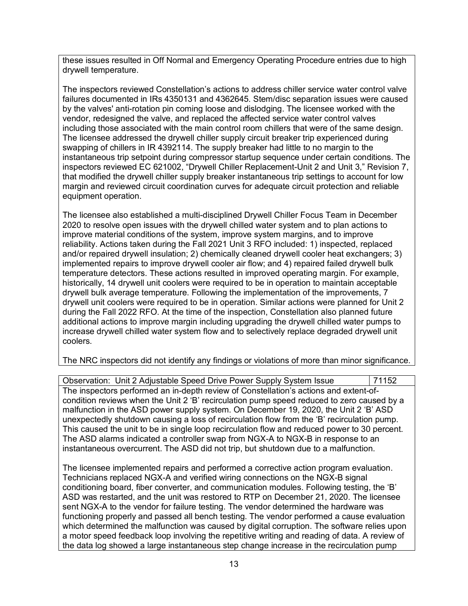these issues resulted in Off Normal and Emergency Operating Procedure entries due to high drywell temperature.

The inspectors reviewed Constellation's actions to address chiller service water control valve failures documented in IRs 4350131 and 4362645. Stem/disc separation issues were caused by the valves' anti-rotation pin coming loose and dislodging. The licensee worked with the vendor, redesigned the valve, and replaced the affected service water control valves including those associated with the main control room chillers that were of the same design. The licensee addressed the drywell chiller supply circuit breaker trip experienced during swapping of chillers in IR 4392114. The supply breaker had little to no margin to the instantaneous trip setpoint during compressor startup sequence under certain conditions. The inspectors reviewed EC 621002, "Drywell Chiller Replacement-Unit 2 and Unit 3," Revision 7, that modified the drywell chiller supply breaker instantaneous trip settings to account for low margin and reviewed circuit coordination curves for adequate circuit protection and reliable equipment operation.

The licensee also established a multi-disciplined Drywell Chiller Focus Team in December 2020 to resolve open issues with the drywell chilled water system and to plan actions to improve material conditions of the system, improve system margins, and to improve reliability. Actions taken during the Fall 2021 Unit 3 RFO included: 1) inspected, replaced and/or repaired drywell insulation; 2) chemically cleaned drywell cooler heat exchangers; 3) implemented repairs to improve drywell cooler air flow; and 4) repaired failed drywell bulk temperature detectors. These actions resulted in improved operating margin. For example, historically, 14 drywell unit coolers were required to be in operation to maintain acceptable drywell bulk average temperature. Following the implementation of the improvements, 7 drywell unit coolers were required to be in operation. Similar actions were planned for Unit 2 during the Fall 2022 RFO. At the time of the inspection, Constellation also planned future additional actions to improve margin including upgrading the drywell chilled water pumps to increase drywell chilled water system flow and to selectively replace degraded drywell unit coolers.

The NRC inspectors did not identify any findings or violations of more than minor significance.

Observation: Unit 2 Adjustable Speed Drive Power Supply System Issue 71152 The inspectors performed an in-depth review of Constellation's actions and extent-ofcondition reviews when the Unit 2 'B' recirculation pump speed reduced to zero caused by a malfunction in the ASD power supply system. On December 19, 2020, the Unit 2 'B' ASD unexpectedly shutdown causing a loss of recirculation flow from the 'B' recirculation pump. This caused the unit to be in single loop recirculation flow and reduced power to 30 percent. The ASD alarms indicated a controller swap from NGX-A to NGX-B in response to an instantaneous overcurrent. The ASD did not trip, but shutdown due to a malfunction.

The licensee implemented repairs and performed a corrective action program evaluation. Technicians replaced NGX-A and verified wiring connections on the NGX-B signal conditioning board, fiber converter, and communication modules. Following testing, the 'B' ASD was restarted, and the unit was restored to RTP on December 21, 2020. The licensee sent NGX-A to the vendor for failure testing. The vendor determined the hardware was functioning properly and passed all bench testing. The vendor performed a cause evaluation which determined the malfunction was caused by digital corruption. The software relies upon a motor speed feedback loop involving the repetitive writing and reading of data. A review of the data log showed a large instantaneous step change increase in the recirculation pump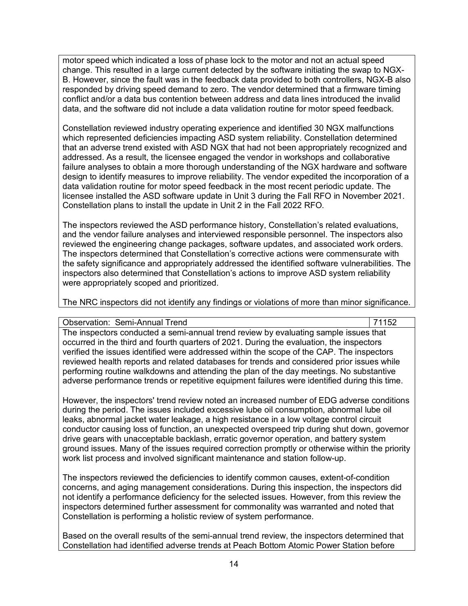motor speed which indicated a loss of phase lock to the motor and not an actual speed change. This resulted in a large current detected by the software initiating the swap to NGX-B. However, since the fault was in the feedback data provided to both controllers, NGX-B also responded by driving speed demand to zero. The vendor determined that a firmware timing conflict and/or a data bus contention between address and data lines introduced the invalid data, and the software did not include a data validation routine for motor speed feedback.

Constellation reviewed industry operating experience and identified 30 NGX malfunctions which represented deficiencies impacting ASD system reliability. Constellation determined that an adverse trend existed with ASD NGX that had not been appropriately recognized and addressed. As a result, the licensee engaged the vendor in workshops and collaborative failure analyses to obtain a more thorough understanding of the NGX hardware and software design to identify measures to improve reliability. The vendor expedited the incorporation of a data validation routine for motor speed feedback in the most recent periodic update. The licensee installed the ASD software update in Unit 3 during the Fall RFO in November 2021. Constellation plans to install the update in Unit 2 in the Fall 2022 RFO.

The inspectors reviewed the ASD performance history, Constellation's related evaluations, and the vendor failure analyses and interviewed responsible personnel. The inspectors also reviewed the engineering change packages, software updates, and associated work orders. The inspectors determined that Constellation's corrective actions were commensurate with the safety significance and appropriately addressed the identified software vulnerabilities. The inspectors also determined that Constellation's actions to improve ASD system reliability were appropriately scoped and prioritized.

The NRC inspectors did not identify any findings or violations of more than minor significance.

Observation: Semi-Annual Trend 71152

The inspectors conducted a semi-annual trend review by evaluating sample issues that occurred in the third and fourth quarters of 2021. During the evaluation, the inspectors verified the issues identified were addressed within the scope of the CAP. The inspectors reviewed health reports and related databases for trends and considered prior issues while performing routine walkdowns and attending the plan of the day meetings. No substantive adverse performance trends or repetitive equipment failures were identified during this time.

However, the inspectors' trend review noted an increased number of EDG adverse conditions during the period. The issues included excessive lube oil consumption, abnormal lube oil leaks, abnormal jacket water leakage, a high resistance in a low voltage control circuit conductor causing loss of function, an unexpected overspeed trip during shut down, governor drive gears with unacceptable backlash, erratic governor operation, and battery system ground issues. Many of the issues required correction promptly or otherwise within the priority work list process and involved significant maintenance and station follow-up.

The inspectors reviewed the deficiencies to identify common causes, extent-of-condition concerns, and aging management considerations. During this inspection, the inspectors did not identify a performance deficiency for the selected issues. However, from this review the inspectors determined further assessment for commonality was warranted and noted that Constellation is performing a holistic review of system performance.

Based on the overall results of the semi-annual trend review, the inspectors determined that Constellation had identified adverse trends at Peach Bottom Atomic Power Station before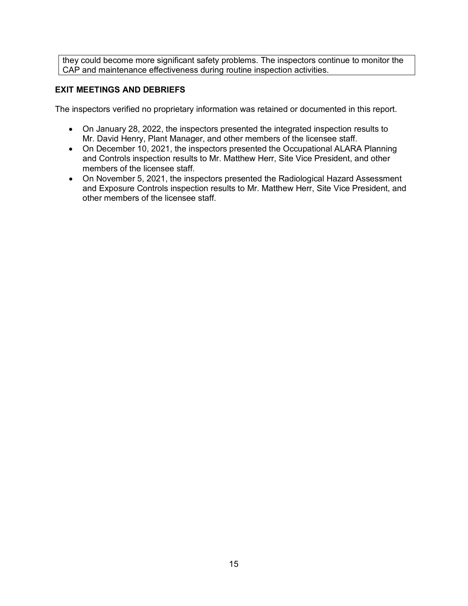they could become more significant safety problems. The inspectors continue to monitor the CAP and maintenance effectiveness during routine inspection activities.

# **EXIT MEETINGS AND DEBRIEFS**

The inspectors verified no proprietary information was retained or documented in this report.

- On January 28, 2022, the inspectors presented the integrated inspection results to Mr. David Henry, Plant Manager, and other members of the licensee staff.
- On December 10, 2021, the inspectors presented the Occupational ALARA Planning and Controls inspection results to Mr. Matthew Herr, Site Vice President, and other members of the licensee staff.
- On November 5, 2021, the inspectors presented the Radiological Hazard Assessment and Exposure Controls inspection results to Mr. Matthew Herr, Site Vice President, and other members of the licensee staff.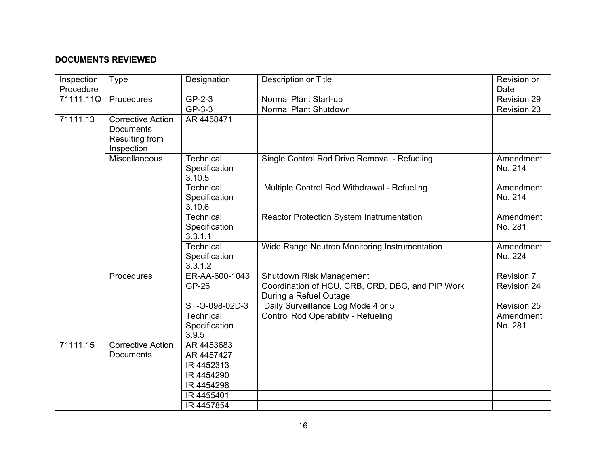# **DOCUMENTS REVIEWED**

| Inspection | Type                                                                  | Designation                                 | Description or Title                                                       | Revision or          |
|------------|-----------------------------------------------------------------------|---------------------------------------------|----------------------------------------------------------------------------|----------------------|
| Procedure  |                                                                       |                                             |                                                                            | Date                 |
| 71111.11Q  | Procedures                                                            | GP-2-3                                      | Normal Plant Start-up                                                      | Revision 29          |
|            |                                                                       | GP-3-3                                      | Normal Plant Shutdown                                                      | Revision 23          |
| 71111.13   | Corrective Action<br><b>Documents</b><br>Resulting from<br>Inspection | AR 4458471                                  |                                                                            |                      |
|            | <b>Miscellaneous</b>                                                  | <b>Technical</b><br>Specification<br>3.10.5 | Single Control Rod Drive Removal - Refueling                               | Amendment<br>No. 214 |
|            |                                                                       | <b>Technical</b><br>Specification<br>3.10.6 | Multiple Control Rod Withdrawal - Refueling                                | Amendment<br>No. 214 |
|            |                                                                       | Technical<br>Specification<br>3.3.1.1       | Reactor Protection System Instrumentation                                  | Amendment<br>No. 281 |
|            |                                                                       | Technical<br>Specification<br>3.3.1.2       | Wide Range Neutron Monitoring Instrumentation                              | Amendment<br>No. 224 |
|            | Procedures                                                            | ER-AA-600-1043                              | Shutdown Risk Management                                                   | Revision 7           |
|            |                                                                       | GP-26                                       | Coordination of HCU, CRB, CRD, DBG, and PIP Work<br>During a Refuel Outage | <b>Revision 24</b>   |
|            |                                                                       | ST-O-098-02D-3                              | Daily Surveillance Log Mode 4 or 5                                         | <b>Revision 25</b>   |
|            |                                                                       | <b>Technical</b>                            | <b>Control Rod Operability - Refueling</b>                                 | Amendment            |
|            |                                                                       | Specification                               |                                                                            | No. 281              |
|            |                                                                       | 3.9.5                                       |                                                                            |                      |
| 71111.15   | <b>Corrective Action</b>                                              | AR 4453683                                  |                                                                            |                      |
|            | <b>Documents</b>                                                      | AR 4457427                                  |                                                                            |                      |
|            |                                                                       | IR 4452313                                  |                                                                            |                      |
|            |                                                                       | IR 4454290                                  |                                                                            |                      |
|            |                                                                       | IR 4454298                                  |                                                                            |                      |
|            |                                                                       | IR 4455401                                  |                                                                            |                      |
|            |                                                                       | IR 4457854                                  |                                                                            |                      |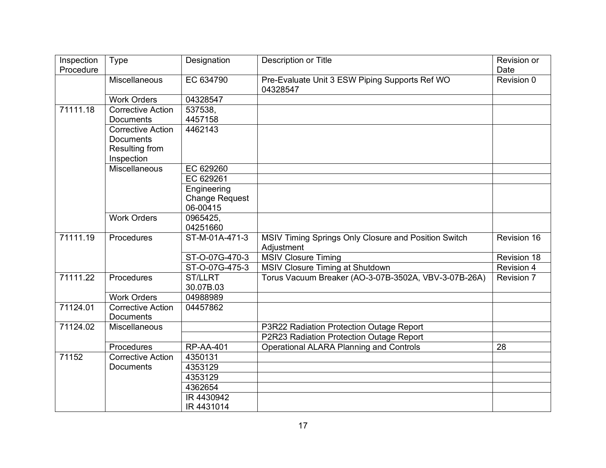| Inspection | <b>Type</b>              | Designation           | Description or Title                                       | Revision or |
|------------|--------------------------|-----------------------|------------------------------------------------------------|-------------|
| Procedure  |                          |                       |                                                            | Date        |
|            | Miscellaneous            | EC 634790             | Pre-Evaluate Unit 3 ESW Piping Supports Ref WO<br>04328547 | Revision 0  |
|            | <b>Work Orders</b>       | 04328547              |                                                            |             |
| 71111.18   | Corrective Action        | 537538,               |                                                            |             |
|            | <b>Documents</b>         | 4457158               |                                                            |             |
|            | <b>Corrective Action</b> | 4462143               |                                                            |             |
|            | <b>Documents</b>         |                       |                                                            |             |
|            | Resulting from           |                       |                                                            |             |
|            | Inspection               |                       |                                                            |             |
|            | <b>Miscellaneous</b>     | EC 629260             |                                                            |             |
|            |                          | EC 629261             |                                                            |             |
|            |                          | Engineering           |                                                            |             |
|            |                          | <b>Change Request</b> |                                                            |             |
|            |                          | 06-00415              |                                                            |             |
|            | <b>Work Orders</b>       | 0965425,<br>04251660  |                                                            |             |
| 71111.19   | Procedures               | ST-M-01A-471-3        | MSIV Timing Springs Only Closure and Position Switch       | Revision 16 |
|            |                          |                       | Adjustment                                                 |             |
|            |                          | ST-O-07G-470-3        | <b>MSIV Closure Timing</b>                                 | Revision 18 |
|            |                          | ST-O-07G-475-3        | <b>MSIV Closure Timing at Shutdown</b>                     | Revision 4  |
| 71111.22   | Procedures               | <b>ST/LLRT</b>        | Torus Vacuum Breaker (AO-3-07B-3502A, VBV-3-07B-26A)       | Revision 7  |
|            |                          | 30.07B.03             |                                                            |             |
|            | <b>Work Orders</b>       | 04988989              |                                                            |             |
| 71124.01   | <b>Corrective Action</b> | 04457862              |                                                            |             |
|            | <b>Documents</b>         |                       |                                                            |             |
| 71124.02   | Miscellaneous            |                       | P3R22 Radiation Protection Outage Report                   |             |
|            |                          |                       | P2R23 Radiation Protection Outage Report                   |             |
|            | Procedures               | <b>RP-AA-401</b>      | <b>Operational ALARA Planning and Controls</b>             | 28          |
| 71152      | <b>Corrective Action</b> | 4350131               |                                                            |             |
|            | <b>Documents</b>         | 4353129               |                                                            |             |
|            |                          | 4353129               |                                                            |             |
|            |                          | 4362654               |                                                            |             |
|            |                          | IR 4430942            |                                                            |             |
|            |                          | IR 4431014            |                                                            |             |